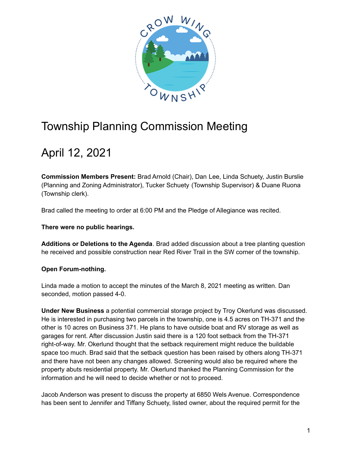

## Township Planning Commission Meeting

## April 12, 2021

**Commission Members Present:** Brad Arnold (Chair), Dan Lee, Linda Schuety, Justin Burslie (Planning and Zoning Administrator), Tucker Schuety (Township Supervisor) & Duane Ruona (Township clerk).

Brad called the meeting to order at 6:00 PM and the Pledge of Allegiance was recited.

**There were no public hearings.**

**Additions or Deletions to the Agenda**. Brad added discussion about a tree planting question he received and possible construction near Red River Trail in the SW corner of the township.

## **Open Forum-nothing.**

Linda made a motion to accept the minutes of the March 8, 2021 meeting as written. Dan seconded, motion passed 4-0.

**Under New Business** a potential commercial storage project by Troy Okerlund was discussed. He is interested in purchasing two parcels in the township, one is 4.5 acres on TH-371 and the other is 10 acres on Business 371. He plans to have outside boat and RV storage as well as garages for rent. After discussion Justin said there is a 120 foot setback from the TH-371 right-of-way. Mr. Okerlund thought that the setback requirement might reduce the buildable space too much. Brad said that the setback question has been raised by others along TH-371 and there have not been any changes allowed. Screening would also be required where the property abuts residential property. Mr. Okerlund thanked the Planning Commission for the information and he will need to decide whether or not to proceed.

Jacob Anderson was present to discuss the property at 6850 Wels Avenue. Correspondence has been sent to Jennifer and Tiffany Schuety, listed owner, about the required permit for the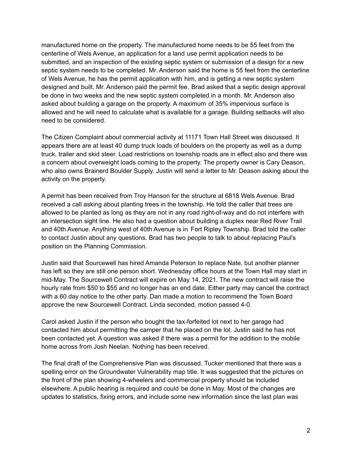manufactured home on the property. The manufactured home needs to be 55 feet from the centerline of Wels Avenue, an application for a land use permit application needs to be submitted, and an inspection of the existing septic system or submission of a design for a new septic system needs to be completed. Mr. Anderson said the home is 55 feet from the centerline of Wels Avenue, he has the permit application with him, and is getting a new septic system designed and built. Mr. Anderson paid the permit fee. Brad asked that a septic design approval be done in two weeks and the new septic system completed in a month. Mr. Anderson also asked about building a garage on the property. A maximum of 35% impervious surface is allowed and he will need to calculate what is available for a garage. Building setbacks will also need to be considered.

The Citizen Complaint about commercial activity at 11171 Town Hall Street was discussed. It appears there are at least 40 dump truck loads of boulders on the property as well as a dump truck, trailer and skid steer. Load restrictions on township roads are in effect also and there was a concern about overweight loads coming to the property. The property owner is Cary Deason, who also owns Brainerd Boulder Supply. Justin will send a letter to Mr. Deason asking about the activity on the property.

A permit has been received from Troy Hanson for the structure at 6818 Wels Avenue. Brad received a call asking about planting trees in the township. He told the caller that trees are allowed to be planted as long as they are not in any road right-of-way and do not interfere with an intersection sight line. He also had a question about building a duplex near Red River Trail and 40th Avenue. Anything west of 40th Avenue is in Fort Ripley Township. Brad told the caller to contact Justin about any questions. Brad has two people to talk to about replacing Paul's position on the Planning Commission.

Justin said that Sourcewell has hired Amanda Peterson to replace Nate, but another planner has left so they are still one person short. Wednesday office hours at the Town Hall may start in mid-May. The Sourcewell Contract will expire on May 14, 2021. The new contract will raise the hourly rate from \$50 to \$55 and no longer has an end date. Either party may cancel the contract with a 60 day notice to the other party. Dan made a motion to recommend the Town Board approve the new Sourcewell Contract. Linda seconded, motion passed 4-0.

Carol asked Justin if the person who bought the tax-forfeited lot next to her garage had contacted him about permitting the camper that he placed on the lot. Justin said he has not been contacted yet. A question was asked if there was a permit for the addition to the mobile home across from Josh Neelan. Nothing has been received.

The final draft of the Comprehensive Plan was discussed. Tucker mentioned that there was a spelling error on the Groundwater Vulnerability map title. It was suggested that the pictures on the front of the plan showing 4-wheelers and commercial property should be included elsewhere. A public hearing is required and could be done in May. Most of the changes are updates to statistics, fixing errors, and include some new information since the last plan was